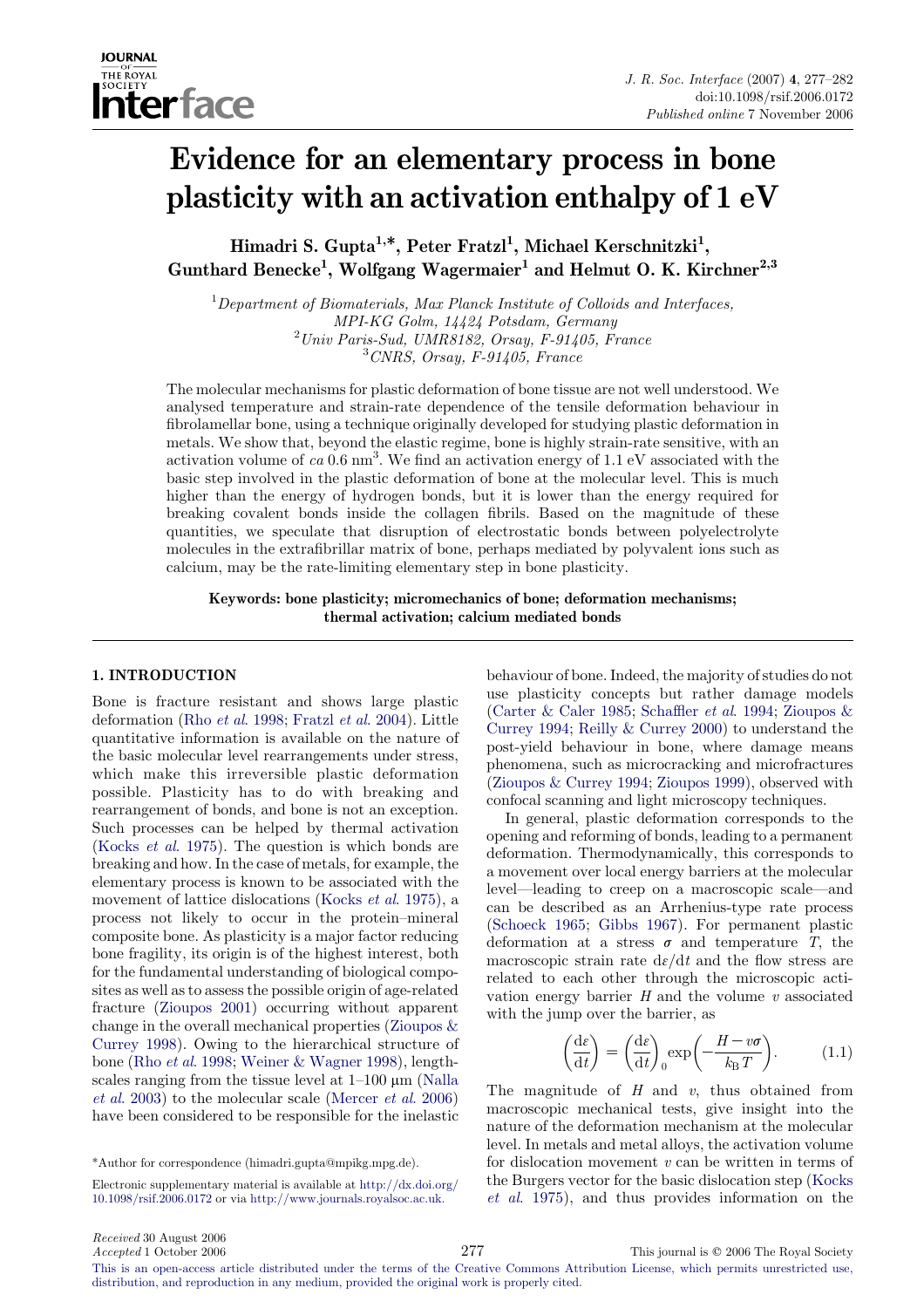

# Evidence for an elementary process in bone plasticity with an activation enthalpy of 1 eV

Himadri S. Gupta<sup>1,\*</sup>, Peter Fratzl<sup>1</sup>, Michael Kerschnitzki<sup>1</sup>, Gunthard Benecke<sup>1</sup>, Wolfgang Wagermaier<sup>1</sup> and Helmut O. K. Kirchner<sup>2,3</sup>

 ${}^{1}$ Department of Biomaterials, Max Planck Institute of Colloids and Interfaces, MPI-KG Golm, 14424 Potsdam, Germany <sup>2</sup> Univ Paris-Sud, UMR8182, Orsay, F-91405, France 3 CNRS, Orsay, F-91405, France

The molecular mechanisms for plastic deformation of bone tissue are not well understood. We analysed temperature and strain-rate dependence of the tensile deformation behaviour in fibrolamellar bone, using a technique originally developed for studying plastic deformation in metals. We show that, beyond the elastic regime, bone is highly strain-rate sensitive, with an activation volume of  $ca$  0.6 nm<sup>3</sup>. We find an activation energy of 1.1 eV associated with the basic step involved in the plastic deformation of bone at the molecular level. This is much higher than the energy of hydrogen bonds, but it is lower than the energy required for breaking covalent bonds inside the collagen fibrils. Based on the magnitude of these quantities, we speculate that disruption of electrostatic bonds between polyelectrolyte molecules in the extrafibrillar matrix of bone, perhaps mediated by polyvalent ions such as calcium, may be the rate-limiting elementary step in bone plasticity.

Keywords: bone plasticity; micromechanics of bone; deformation mechanisms; thermal activation; calcium mediated bonds

## 1. INTRODUCTION

Bone is fracture resistant and shows large plastic deformation (Rho et al[. 1998;](#page-5-0) [Fratzl](#page-4-0) et al. 2004). Little quantitative information is available on the nature of the basic molecular level rearrangements under stress, which make this irreversible plastic deformation possible. Plasticity has to do with breaking and rearrangement of bonds, and bone is not an exception. Such processes can be helped by thermal activation (Kocks et al[. 1975\)](#page-5-0). The question is which bonds are breaking and how. In the case of metals, for example, the elementary process is known to be associated with the movement of lattice dislocations (Kocks *et al.* 1975), a process not likely to occur in the protein–mineral composite bone. As plasticity is a major factor reducing bone fragility, its origin is of the highest interest, both for the fundamental understanding of biological composites as well as to assess the possible origin of age-related fracture ([Zioupos 2001](#page-5-0)) occurring without apparent change in the overall mechanical properties [\(Zioupos &](#page-5-0) [Currey 1998\)](#page-5-0). Owing to the hierarchical structure of bone (Rho et al[. 1998;](#page-5-0) [Weiner & Wagner 1998\)](#page-5-0), lengthscales ranging from the tissue level at  $1-100 \mu m$  [\(Nalla](#page-5-0) et al[. 2003\)](#page-5-0) to the molecular scale [\(Mercer](#page-5-0) et al. 2006) have been considered to be responsible for the inelastic

Electronic supplementary material is available at [http://dx.doi.org/](http://dx.doi.org/10.1098/rsif.2006.0172) [10.1098/rsif.2006.0172](http://dx.doi.org/10.1098/rsif.2006.0172) or via <http://www.journals.royalsoc.ac.uk>.

behaviour of bone. Indeed, the majority of studies do not use plasticity concepts but rather damage models [\(Carter & Caler 1985;](#page-4-0) [Schaffler](#page-5-0) et al. 1994; [Zioupos &](#page-5-0) [Currey 1994;](#page-5-0) [Reilly & Currey 2000](#page-5-0)) to understand the post-yield behaviour in bone, where damage means phenomena, such as microcracking and microfractures [\(Zioupos & Currey 1994;](#page-5-0) [Zioupos 1999\)](#page-5-0), observed with confocal scanning and light microscopy techniques.

In general, plastic deformation corresponds to the opening and reforming of bonds, leading to a permanent deformation. Thermodynamically, this corresponds to a movement over local energy barriers at the molecular level—leading to creep on a macroscopic scale—and can be described as an Arrhenius-type rate process [\(Schoeck 1965](#page-5-0); [Gibbs 1967](#page-4-0)). For permanent plastic deformation at a stress  $\sigma$  and temperature T, the macroscopic strain rate  $d\varepsilon/dt$  and the flow stress are related to each other through the microscopic activation energy barrier  $H$  and the volume  $v$  associated with the jump over the barrier, as

$$
\left(\frac{\mathrm{d}\varepsilon}{\mathrm{d}t}\right) = \left(\frac{\mathrm{d}\varepsilon}{\mathrm{d}t}\right) \exp\left(-\frac{H - v\sigma}{k_{\mathrm{B}}T}\right). \tag{1.1}
$$

The magnitude of  $H$  and  $v$ , thus obtained from macroscopic mechanical tests, give insight into the nature of the deformation mechanism at the molecular level. In metals and metal alloys, the activation volume for dislocation movement  $v$  can be written in terms of the Burgers vector for the basic dislocation step ([Kocks](#page-5-0) et al[. 1975\)](#page-5-0), and thus provides information on the

<sup>\*</sup>Author for correspondence (himadri.gupta@mpikg.mpg.de).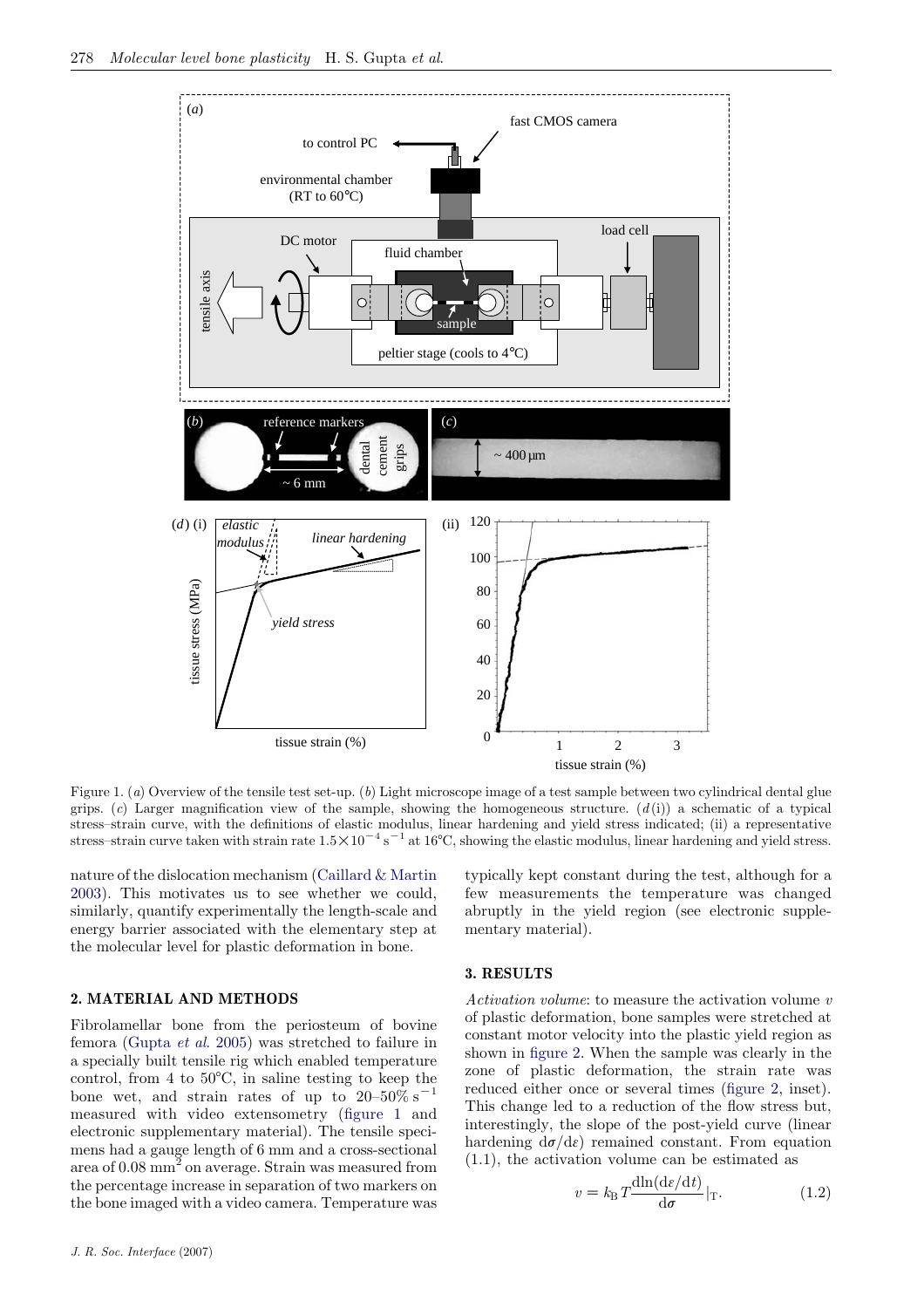<span id="page-1-0"></span>

Figure 1. (a) Overview of the tensile test set-up. (b) Light microscope image of a test sample between two cylindrical dental glue grips. (c) Larger magnification view of the sample, showing the homogeneous structure.  $(d(i))$  a schematic of a typical stress–strain curve, with the definitions of elastic modulus, linear hardening and yield stress indicated; (ii) a representative stress–strain curve taken with strain rate  $1.5 \times 10^{-4}$  s<sup>-1</sup> at 16°C, showing the elastic modulus, linear hardening and yield stress.

nature of the dislocation mechanism [\(Caillard & Martin](#page-4-0) [2003](#page-4-0)). This motivates us to see whether we could, similarly, quantify experimentally the length-scale and energy barrier associated with the elementary step at the molecular level for plastic deformation in bone.

## 2. MATERIAL AND METHODS

Fibrolamellar bone from the periosteum of bovine femora [\(Gupta](#page-4-0) et al. 2005) was stretched to failure in a specially built tensile rig which enabled temperature control, from 4 to  $50^{\circ}$ C, in saline testing to keep the bone wet, and strain rates of up to  $20-50\%$  s<sup>-1</sup> measured with video extensometry (figure 1 and electronic supplementary material). The tensile specimens had a gauge length of 6 mm and a cross-sectional area of 0.08 mm<sup>2</sup> on average. Strain was measured from the percentage increase in separation of two markers on the bone imaged with a video camera. Temperature was

typically kept constant during the test, although for a few measurements the temperature was changed abruptly in the yield region (see electronic supplementary material).

## 3. RESULTS

Activation volume: to measure the activation volume v of plastic deformation, bone samples were stretched at constant motor velocity into the plastic yield region as shown in [figure 2.](#page-2-0) When the sample was clearly in the zone of plastic deformation, the strain rate was reduced either once or several times ([figure 2](#page-2-0), inset). This change led to a reduction of the flow stress but, interestingly, the slope of the post-yield curve (linear hardening  $d\sigma/d\varepsilon$  remained constant. From equation (1.1), the activation volume can be estimated as

$$
v = k_{\rm B} T \frac{\text{dln}(d\varepsilon/dt)}{\text{d}\sigma}|_{\rm T}.
$$
 (1.2)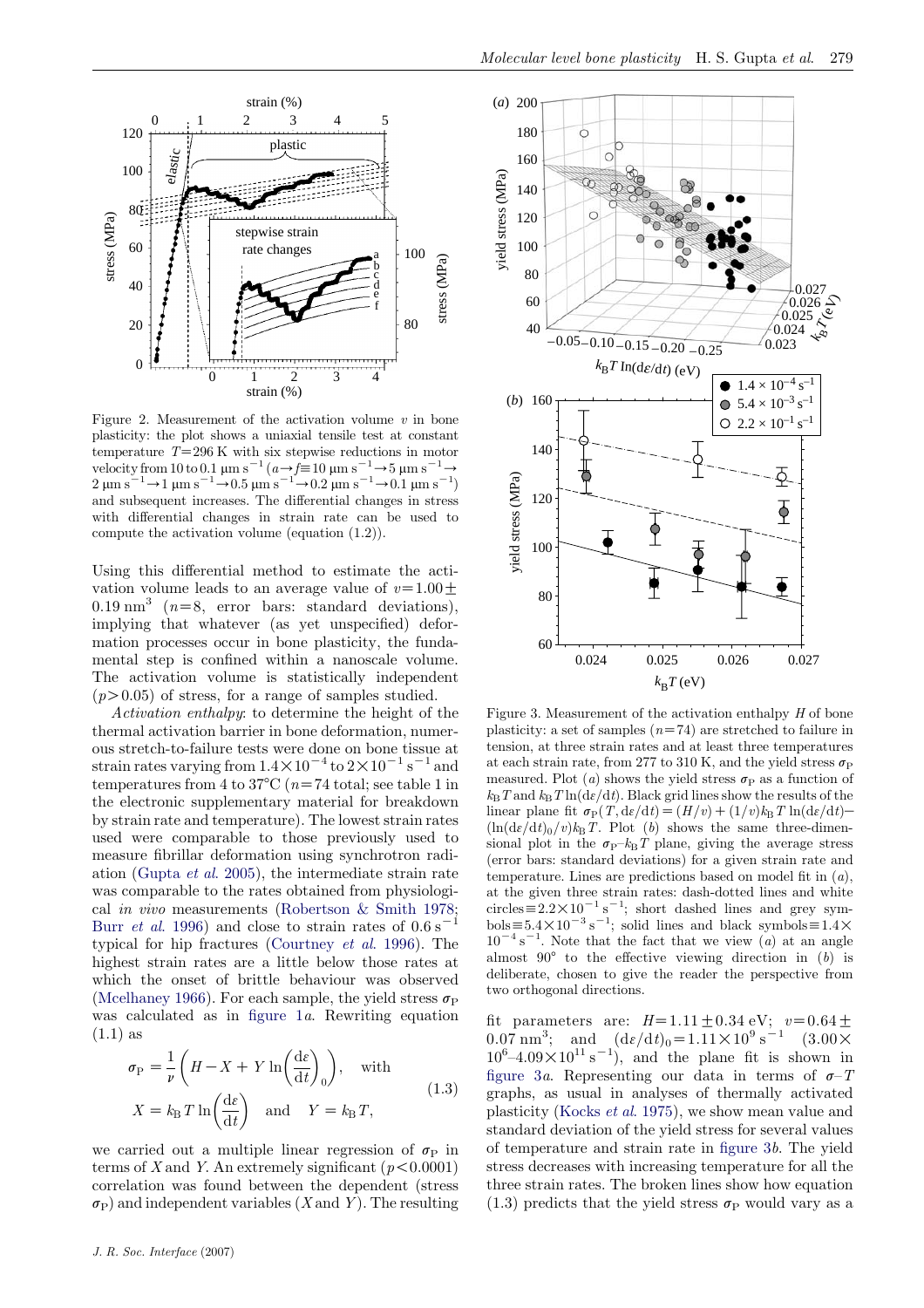<span id="page-2-0"></span>

Figure 2. Measurement of the activation volume  $v$  in bone plasticity: the plot shows a uniaxial tensile test at constant temperature  $T=296$  K with six stepwise reductions in motor velocity from 10 to 0.1  $\mu$ m s<sup>-1</sup> (a  $\rightarrow$  f=10  $\mu$ m s<sup>-1</sup>  $\rightarrow$  5  $\mu$ m s<sup>-1</sup>  $\rightarrow$  $2 \mu m s^{-1} \rightarrow 1 \mu m s^{-1} \rightarrow 0.5 \mu m s^{-1} \rightarrow 0.2 \mu m s^{-1} \rightarrow 0.1 \mu m s^{-1}$ and subsequent increases. The differential changes in stress with differential changes in strain rate can be used to compute the activation volume (equation (1.2)).

Using this differential method to estimate the activation volume leads to an average value of  $v=1.00\pm$  $0.19 \text{ nm}^3$  ( $n=8$ , error bars: standard deviations), implying that whatever (as yet unspecified) deformation processes occur in bone plasticity, the fundamental step is confined within a nanoscale volume. The activation volume is statistically independent  $(p>0.05)$  of stress, for a range of samples studied.

Activation enthalpy: to determine the height of the thermal activation barrier in bone deformation, numerous stretch-to-failure tests were done on bone tissue at strain rates varying from  $1.4 \times 10^{-4}$  to  $2 \times 10^{-1}$  s<sup>-1</sup> and temperatures from 4 to 37 $\degree$ C (n=74 total; see table 1 in the electronic supplementary material for breakdown by strain rate and temperature). The lowest strain rates used were comparable to those previously used to measure fibrillar deformation using synchrotron radiation ([Gupta](#page-4-0) et al. 2005), the intermediate strain rate was comparable to the rates obtained from physiological in vivo measurements ([Robertson & Smith 1978;](#page-5-0) Burr *et al.* 1996) and close to strain rates of  $0.6 s$ <sup>-</sup> typical for hip fractures ([Courtney](#page-4-0) et al. 1996). The highest strain rates are a little below those rates at which the onset of brittle behaviour was observed [\(Mcelhaney 1966](#page-5-0)). For each sample, the yield stress  $\sigma_{\rm P}$ was calculated as in figure  $1a$ . Rewriting equation  $(1.1)$  as

$$
\sigma_{\rm P} = \frac{1}{\nu} \left( H - X + Y \ln \left( \frac{d\varepsilon}{dt} \right)_0 \right), \quad \text{with}
$$
\n
$$
X = k_{\rm B} T \ln \left( \frac{d\varepsilon}{dt} \right) \quad \text{and} \quad Y = k_{\rm B} T,
$$
\n(1.3)

we carried out a multiple linear regression of  $\sigma_{\rm P}$  in terms of X and Y. An extremely significant  $(p<0.0001)$ correlation was found between the dependent (stress  $\sigma_P$ ) and independent variables (X and Y). The resulting



Figure 3. Measurement of the activation enthalpy  $H$  of bone plasticity: a set of samples  $(n=74)$  are stretched to failure in tension, at three strain rates and at least three temperatures at each strain rate, from 277 to 310 K, and the yield stress  $\sigma_{\rm P}$ measured. Plot (a) shows the yield stress  $\sigma_{\rm P}$  as a function of  $k_{\rm B}T$  and  $k_{\rm B}T \ln(\mathrm{d}\varepsilon/\mathrm{d}t)$ . Black grid lines show the results of the linear plane fit  $\sigma_{\rm P}(T, d\varepsilon/dt) = (H/v) + (1/v)k_{\rm B}T \ln(d\varepsilon/dt)$  $(\ln(\mathrm{d}\varepsilon/\mathrm{d}t)_0/v)k_BT$ . Plot (b) shows the same three-dimensional plot in the  $\sigma_{\rm P}$ – $k_{\rm B}T$  plane, giving the average stress (error bars: standard deviations) for a given strain rate and temperature. Lines are predictions based on model fit in  $(a)$ , at the given three strain rates: dash-dotted lines and white circles  $\equiv 2.2 \times 10^{-1}$  s<sup>-1</sup>; short dashed lines and grey symbols  $\equiv 5.4 \times 10^{-3}$  s<sup>-1</sup>; solid lines and black symbols  $\equiv 1.4 \times$  $10^{-4}$  s<sup>-1</sup>. Note that the fact that we view (a) at an angle almost  $90^{\circ}$  to the effective viewing direction in (b) is deliberate, chosen to give the reader the perspective from two orthogonal directions.

fit parameters are:  $H=1.11\pm0.34$  eV;  $v=0.64\pm$ 0.07 nm<sup>3</sup>; and  $(d\varepsilon/dt)_0 = 1.11 \times 10^9 \text{ s}^{-1}$  (3.00 X)  $10^6 - 4.09 \times 10^{11} \text{ s}^{-1}$ , and the plane fit is shown in figure 3a. Representing our data in terms of  $\sigma$ -T graphs, as usual in analyses of thermally activated plasticity [\(Kocks](#page-5-0) et al. 1975), we show mean value and standard deviation of the yield stress for several values of temperature and strain rate in figure 3b. The yield stress decreases with increasing temperature for all the three strain rates. The broken lines show how equation (1.3) predicts that the yield stress  $\sigma_{\rm P}$  would vary as a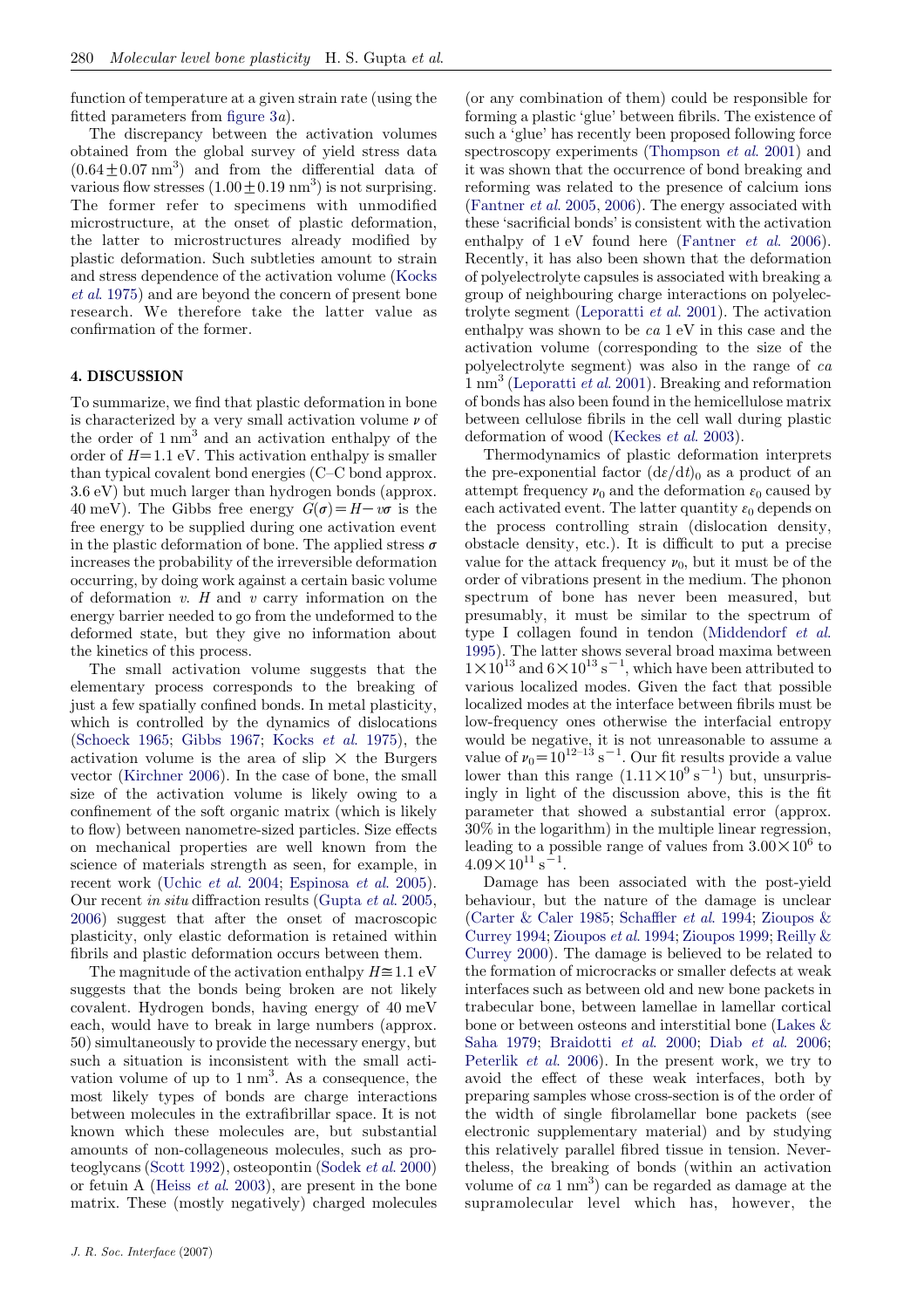function of temperature at a given strain rate (using the fitted parameters from [figure 3](#page-2-0)a).

The discrepancy between the activation volumes obtained from the global survey of yield stress data  $(0.64 \pm 0.07 \text{ nm}^3)$  and from the differential data of various flow stresses  $(1.00 \pm 0.19 \text{ nm}^3)$  is not surprising. The former refer to specimens with unmodified microstructure, at the onset of plastic deformation, the latter to microstructures already modified by plastic deformation. Such subtleties amount to strain and stress dependence of the activation volume ([Kocks](#page-5-0) et al[. 1975\)](#page-5-0) and are beyond the concern of present bone research. We therefore take the latter value as confirmation of the former.

## 4. DISCUSSION

To summarize, we find that plastic deformation in bone is characterized by a very small activation volume  $\nu$  of the order of  $1 \text{ nm}^3$  and an activation enthalpy of the order of  $H=1.1$  eV. This activation enthalpy is smaller than typical covalent bond energies (C–C bond approx. 3.6 eV) but much larger than hydrogen bonds (approx. 40 meV). The Gibbs free energy  $G(\sigma) = H - v\sigma$  is the free energy to be supplied during one activation event in the plastic deformation of bone. The applied stress  $\sigma$ increases the probability of the irreversible deformation occurring, by doing work against a certain basic volume of deformation  $v$ .  $H$  and  $v$  carry information on the energy barrier needed to go from the undeformed to the deformed state, but they give no information about the kinetics of this process.

The small activation volume suggests that the elementary process corresponds to the breaking of just a few spatially confined bonds. In metal plasticity, which is controlled by the dynamics of dislocations [\(Schoeck 1965](#page-5-0); [Gibbs 1967;](#page-4-0) Kocks et al[. 1975\)](#page-5-0), the activation volume is the area of slip  $\times$  the Burgers vector ([Kirchner 2006\)](#page-5-0). In the case of bone, the small size of the activation volume is likely owing to a confinement of the soft organic matrix (which is likely to flow) between nanometre-sized particles. Size effects on mechanical properties are well known from the science of materials strength as seen, for example, in recent work (Uchic et al[. 2004;](#page-5-0) [Espinosa](#page-4-0) et al. 2005). Our recent in situ diffraction results [\(Gupta](#page-4-0) et al. 2005, [2006](#page-5-0)) suggest that after the onset of macroscopic plasticity, only elastic deformation is retained within fibrils and plastic deformation occurs between them.

The magnitude of the activation enthalpy  $H\cong1.1\text{ eV}$ suggests that the bonds being broken are not likely covalent. Hydrogen bonds, having energy of 40 meV each, would have to break in large numbers (approx. 50) simultaneously to provide the necessary energy, but such a situation is inconsistent with the small activation volume of up to  $1 \text{ nm}^3$ . As a consequence, the most likely types of bonds are charge interactions between molecules in the extrafibrillar space. It is not known which these molecules are, but substantial amounts of non-collageneous molecules, such as proteoglycans ([Scott 1992\)](#page-5-0), osteopontin ([Sodek](#page-5-0) et al. 2000) or fetuin A (Heiss et al[. 2003\)](#page-5-0), are present in the bone matrix. These (mostly negatively) charged molecules (or any combination of them) could be responsible for forming a plastic 'glue' between fibrils. The existence of such a 'glue' has recently been proposed following force spectroscopy experiments ([Thompson](#page-5-0) *et al.* 2001) and it was shown that the occurrence of bond breaking and reforming was related to the presence of calcium ions [\(Fantner](#page-4-0) et al. 2005, [2006](#page-4-0)). The energy associated with these 'sacrificial bonds' is consistent with the activation enthalpy of  $1 \text{ eV}$  found here [\(Fantner](#page-4-0) *et al.* 2006). Recently, it has also been shown that the deformation of polyelectrolyte capsules is associated with breaking a group of neighbouring charge interactions on polyelectrolyte segment [\(Leporatti](#page-5-0) et al. 2001). The activation enthalpy was shown to be ca 1 eV in this case and the activation volume (corresponding to the size of the polyelectrolyte segment) was also in the range of ca  $1 \text{ nm}^3$  ([Leporatti](#page-5-0) *et al.* 2001). Breaking and reformation of bonds has also been found in the hemicellulose matrix between cellulose fibrils in the cell wall during plastic deformation of wood [\(Keckes](#page-5-0) et al. 2003).

Thermodynamics of plastic deformation interprets the pre-exponential factor  $(d\varepsilon/dt)$ <sub>0</sub> as a product of an attempt frequency  $\nu_0$  and the deformation  $\varepsilon_0$  caused by each activated event. The latter quantity  $\varepsilon_0$  depends on the process controlling strain (dislocation density, obstacle density, etc.). It is difficult to put a precise value for the attack frequency  $\nu_0$ , but it must be of the order of vibrations present in the medium. The phonon spectrum of bone has never been measured, but presumably, it must be similar to the spectrum of type I collagen found in tendon [\(Middendorf](#page-5-0) et al. [1995](#page-5-0)). The latter shows several broad maxima between  $1 \times 10^{13}$  and  $6 \times 10^{13}$  s<sup>-1</sup>, which have been attributed to various localized modes. Given the fact that possible localized modes at the interface between fibrils must be low-frequency ones otherwise the interfacial entropy would be negative, it is not unreasonable to assume a value of  $\nu_0 = 10^{12-13} \text{ s}^{-1}$ . Our fit results provide a value lower than this range  $(1.11 \times 10^9 \text{ s}^{-1})$  but, unsurprisingly in light of the discussion above, this is the fit parameter that showed a substantial error (approx. 30% in the logarithm) in the multiple linear regression, leading to a possible range of values from  $3.00 \times 10^6$  to  $4.09 \times 10^{11} \text{ s}^{-1}$ .

Damage has been associated with the post-yield behaviour, but the nature of the damage is unclear [\(Carter & Caler 1985;](#page-4-0) [Schaffler](#page-5-0) et al. 1994; [Zioupos &](#page-5-0) [Currey 1994;](#page-5-0) [Zioupos](#page-5-0) et al. 1994; [Zioupos 1999](#page-5-0); [Reilly &](#page-5-0) [Currey 2000\)](#page-5-0). The damage is believed to be related to the formation of microcracks or smaller defects at weak interfaces such as between old and new bone packets in trabecular bone, between lamellae in lamellar cortical bone or between osteons and interstitial bone [\(Lakes &](#page-5-0) [Saha 1979;](#page-5-0) [Braidotti](#page-4-0) et al. 2000; Diab et al[. 2006;](#page-4-0) [Peterlik](#page-5-0) et al. 2006). In the present work, we try to avoid the effect of these weak interfaces, both by preparing samples whose cross-section is of the order of the width of single fibrolamellar bone packets (see electronic supplementary material) and by studying this relatively parallel fibred tissue in tension. Nevertheless, the breaking of bonds (within an activation volume of  $ca$  1 nm<sup>3</sup>) can be regarded as damage at the supramolecular level which has, however, the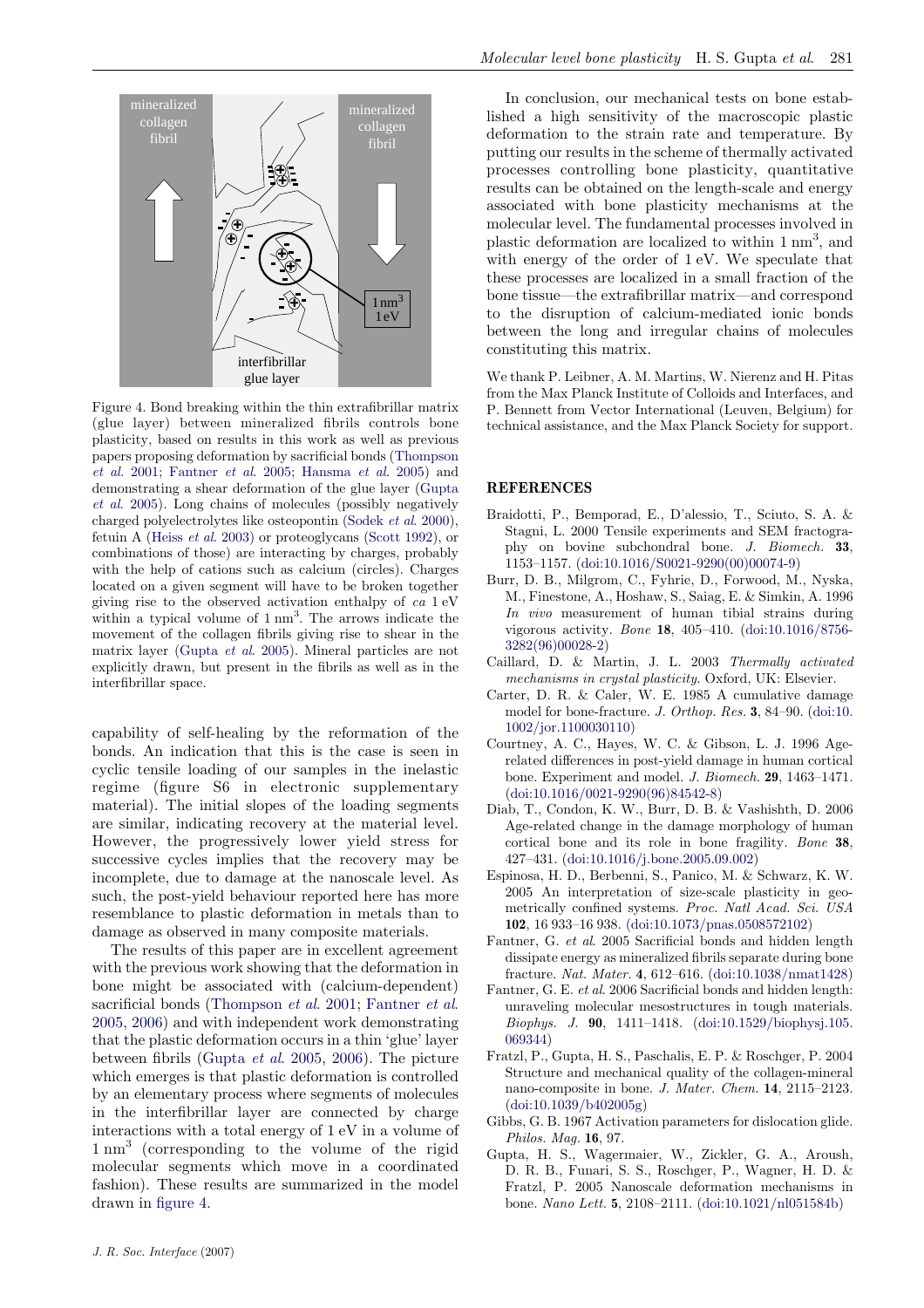<span id="page-4-0"></span>

Figure 4. Bond breaking within the thin extrafibrillar matrix (glue layer) between mineralized fibrils controls bone plasticity, based on results in this work as well as previous papers proposing deformation by sacrificial bonds [\(Thompson](#page-5-0) et al[. 2001](#page-5-0); Fantner et al. 2005; [Hansma](#page-5-0) et al. 2005) and demonstrating a shear deformation of the glue layer (Gupta et al. 2005). Long chains of molecules (possibly negatively charged polyelectrolytes like osteopontin ([Sodek](#page-5-0) et al. 2000), fetuin A (Heiss et al[. 2003\)](#page-5-0) or proteoglycans ([Scott 1992\)](#page-5-0), or combinations of those) are interacting by charges, probably with the help of cations such as calcium (circles). Charges located on a given segment will have to be broken together giving rise to the observed activation enthalpy of ca 1 eV within a typical volume of  $1 \text{ nm}^3$ . The arrows indicate the movement of the collagen fibrils giving rise to shear in the matrix layer (Gupta et al. 2005). Mineral particles are not explicitly drawn, but present in the fibrils as well as in the interfibrillar space.

capability of self-healing by the reformation of the bonds. An indication that this is the case is seen in cyclic tensile loading of our samples in the inelastic regime (figure S6 in electronic supplementary material). The initial slopes of the loading segments are similar, indicating recovery at the material level. However, the progressively lower yield stress for successive cycles implies that the recovery may be incomplete, due to damage at the nanoscale level. As such, the post-yield behaviour reported here has more resemblance to plastic deformation in metals than to damage as observed in many composite materials.

The results of this paper are in excellent agreement with the previous work showing that the deformation in bone might be associated with (calcium-dependent) sacrificial bonds ([Thompson](#page-5-0) et al. 2001; Fantner et al. 2005, 2006) and with independent work demonstrating that the plastic deformation occurs in a thin 'glue' layer between fibrils (Gupta et al. 2005, [2006\)](#page-5-0). The picture which emerges is that plastic deformation is controlled by an elementary process where segments of molecules in the interfibrillar layer are connected by charge interactions with a total energy of 1 eV in a volume of 1 nm<sup>3</sup> (corresponding to the volume of the rigid molecular segments which move in a coordinated fashion). These results are summarized in the model drawn in figure 4.

In conclusion, our mechanical tests on bone established a high sensitivity of the macroscopic plastic deformation to the strain rate and temperature. By putting our results in the scheme of thermally activated processes controlling bone plasticity, quantitative results can be obtained on the length-scale and energy associated with bone plasticity mechanisms at the molecular level. The fundamental processes involved in plastic deformation are localized to within 1 nm<sup>3</sup>, and with energy of the order of 1 eV. We speculate that these processes are localized in a small fraction of the bone tissue—the extrafibrillar matrix—and correspond to the disruption of calcium-mediated ionic bonds between the long and irregular chains of molecules constituting this matrix.

We thank P. Leibner, A. M. Martins, W. Nierenz and H. Pitas from the Max Planck Institute of Colloids and Interfaces, and P. Bennett from Vector International (Leuven, Belgium) for technical assistance, and the Max Planck Society for support.

#### **REFERENCES**

- Braidotti, P., Bemporad, E., D'alessio, T., Sciuto, S. A. & Stagni, L. 2000 Tensile experiments and SEM fractography on bovine subchondral bone. J. Biomech. 33, 1153–1157. [\(doi:10.1016/S0021-9290\(00\)00074-9](http://dx.doi.org/doi:10.1016/S0021-9290(00)00074-9))
- Burr, D. B., Milgrom, C., Fyhrie, D., Forwood, M., Nyska, M., Finestone, A., Hoshaw, S., Saiag, E. & Simkin, A. 1996 In vivo measurement of human tibial strains during vigorous activity. Bone 18, 405–410. [\(doi:10.1016/8756-](http://dx.doi.org/doi:10.1016/8756-3282(96)00028-2) [3282\(96\)00028-2\)](http://dx.doi.org/doi:10.1016/8756-3282(96)00028-2)
- Caillard, D. & Martin, J. L. 2003 Thermally activated mechanisms in crystal plasticity. Oxford, UK: Elsevier.
- Carter, D. R. & Caler, W. E. 1985 A cumulative damage model for bone-fracture. J. Orthop. Res. 3, 84–90. ([doi:10.](http://dx.doi.org/doi:10.1002/jor.1100030110) [1002/jor.1100030110\)](http://dx.doi.org/doi:10.1002/jor.1100030110)
- Courtney, A. C., Hayes, W. C. & Gibson, L. J. 1996 Agerelated differences in post-yield damage in human cortical bone. Experiment and model. J. Biomech. 29, 1463–1471. ([doi:10.1016/0021-9290\(96\)84542-8\)](http://dx.doi.org/doi:10.1016/0021-9290(96)84542-8)
- Diab, T., Condon, K. W., Burr, D. B. & Vashishth, D. 2006 Age-related change in the damage morphology of human cortical bone and its role in bone fragility. Bone 38, 427–431. [\(doi:10.1016/j.bone.2005.09.002](http://dx.doi.org/doi:10.1016/j.bone.2005.09.002))
- Espinosa, H. D., Berbenni, S., Panico, M. & Schwarz, K. W. 2005 An interpretation of size-scale plasticity in geometrically confined systems. Proc. Natl Acad. Sci. USA 102, 16 933–16 938. [\(doi:10.1073/pnas.0508572102](http://dx.doi.org/doi:10.1073/pnas.0508572102))
- Fantner, G. et al. 2005 Sacrificial bonds and hidden length dissipate energy as mineralized fibrils separate during bone fracture. Nat. Mater. 4, 612–616. [\(doi:10.1038/nmat1428](http://dx.doi.org/doi:10.1038/nmat1428))
- Fantner, G. E. et al. 2006 Sacrificial bonds and hidden length: unraveling molecular mesostructures in tough materials. Biophys. J. 90, 1411–1418. ([doi:10.1529/biophysj.105.](http://dx.doi.org/doi:10.1529/biophysj.105.069344) [069344](http://dx.doi.org/doi:10.1529/biophysj.105.069344))
- Fratzl, P., Gupta, H. S., Paschalis, E. P. & Roschger, P. 2004 Structure and mechanical quality of the collagen-mineral nano-composite in bone. J. Mater. Chem. 14, 2115–2123. ([doi:10.1039/b402005g](http://dx.doi.org/doi:10.1039/b402005g))
- Gibbs, G. B. 1967 Activation parameters for dislocation glide. Philos. Mag. 16, 97.
- Gupta, H. S., Wagermaier, W., Zickler, G. A., Aroush, D. R. B., Funari, S. S., Roschger, P., Wagner, H. D. & Fratzl, P. 2005 Nanoscale deformation mechanisms in bone. Nano Lett. 5, 2108–2111. [\(doi:10.1021/nl051584b\)](http://dx.doi.org/doi:10.1021/nl051584b)